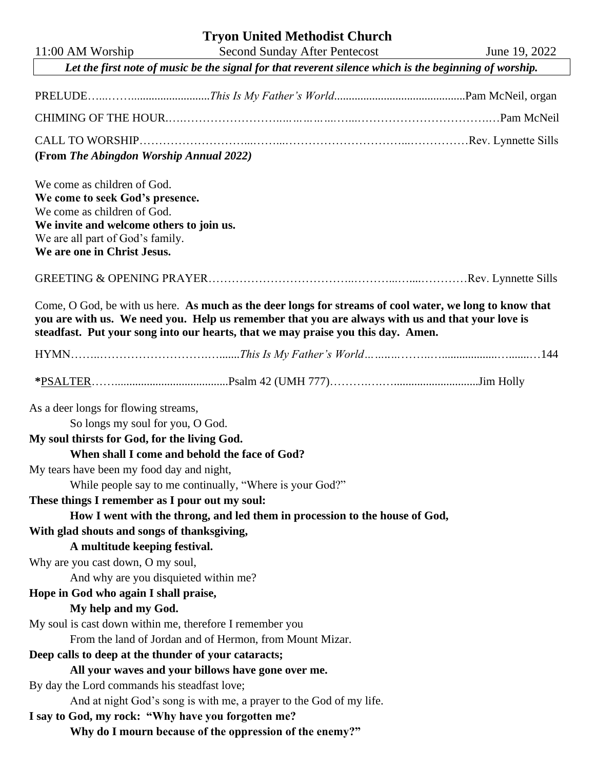| <b>Second Sunday After Pentecost</b><br>11:00 AM Worship<br>June 19, 2022<br>Let the first note of music be the signal for that reverent silence which is the beginning of worship.<br>(From The Abingdon Worship Annual 2022)<br>We come as children of God.<br>We come to seek God's presence.<br>We come as children of God.<br>We invite and welcome others to join us.<br>We are all part of God's family.<br>We are one in Christ Jesus. |  |  |  |
|------------------------------------------------------------------------------------------------------------------------------------------------------------------------------------------------------------------------------------------------------------------------------------------------------------------------------------------------------------------------------------------------------------------------------------------------|--|--|--|
|                                                                                                                                                                                                                                                                                                                                                                                                                                                |  |  |  |
|                                                                                                                                                                                                                                                                                                                                                                                                                                                |  |  |  |
|                                                                                                                                                                                                                                                                                                                                                                                                                                                |  |  |  |
|                                                                                                                                                                                                                                                                                                                                                                                                                                                |  |  |  |
|                                                                                                                                                                                                                                                                                                                                                                                                                                                |  |  |  |
|                                                                                                                                                                                                                                                                                                                                                                                                                                                |  |  |  |
|                                                                                                                                                                                                                                                                                                                                                                                                                                                |  |  |  |
|                                                                                                                                                                                                                                                                                                                                                                                                                                                |  |  |  |
| Come, O God, be with us here. As much as the deer longs for streams of cool water, we long to know that<br>you are with us. We need you. Help us remember that you are always with us and that your love is<br>steadfast. Put your song into our hearts, that we may praise you this day. Amen.                                                                                                                                                |  |  |  |
|                                                                                                                                                                                                                                                                                                                                                                                                                                                |  |  |  |
|                                                                                                                                                                                                                                                                                                                                                                                                                                                |  |  |  |
| As a deer longs for flowing streams,                                                                                                                                                                                                                                                                                                                                                                                                           |  |  |  |
| So longs my soul for you, O God.                                                                                                                                                                                                                                                                                                                                                                                                               |  |  |  |
| My soul thirsts for God, for the living God.                                                                                                                                                                                                                                                                                                                                                                                                   |  |  |  |
| When shall I come and behold the face of God?                                                                                                                                                                                                                                                                                                                                                                                                  |  |  |  |
| My tears have been my food day and night,                                                                                                                                                                                                                                                                                                                                                                                                      |  |  |  |
| While people say to me continually, "Where is your God?"                                                                                                                                                                                                                                                                                                                                                                                       |  |  |  |
| These things I remember as I pour out my soul:                                                                                                                                                                                                                                                                                                                                                                                                 |  |  |  |
| How I went with the throng, and led them in procession to the house of God,                                                                                                                                                                                                                                                                                                                                                                    |  |  |  |
| With glad shouts and songs of thanksgiving,                                                                                                                                                                                                                                                                                                                                                                                                    |  |  |  |
| A multitude keeping festival.                                                                                                                                                                                                                                                                                                                                                                                                                  |  |  |  |
| Why are you cast down, O my soul,                                                                                                                                                                                                                                                                                                                                                                                                              |  |  |  |
| And why are you disquieted within me?<br>Hope in God who again I shall praise,                                                                                                                                                                                                                                                                                                                                                                 |  |  |  |
| My help and my God.                                                                                                                                                                                                                                                                                                                                                                                                                            |  |  |  |
| My soul is cast down within me, therefore I remember you                                                                                                                                                                                                                                                                                                                                                                                       |  |  |  |
| From the land of Jordan and of Hermon, from Mount Mizar.                                                                                                                                                                                                                                                                                                                                                                                       |  |  |  |
| Deep calls to deep at the thunder of your cataracts;                                                                                                                                                                                                                                                                                                                                                                                           |  |  |  |
| All your waves and your billows have gone over me.                                                                                                                                                                                                                                                                                                                                                                                             |  |  |  |
| By day the Lord commands his steadfast love;                                                                                                                                                                                                                                                                                                                                                                                                   |  |  |  |
| And at night God's song is with me, a prayer to the God of my life.                                                                                                                                                                                                                                                                                                                                                                            |  |  |  |
| I say to God, my rock: "Why have you forgotten me?                                                                                                                                                                                                                                                                                                                                                                                             |  |  |  |
| Why do I mourn because of the oppression of the enemy?"                                                                                                                                                                                                                                                                                                                                                                                        |  |  |  |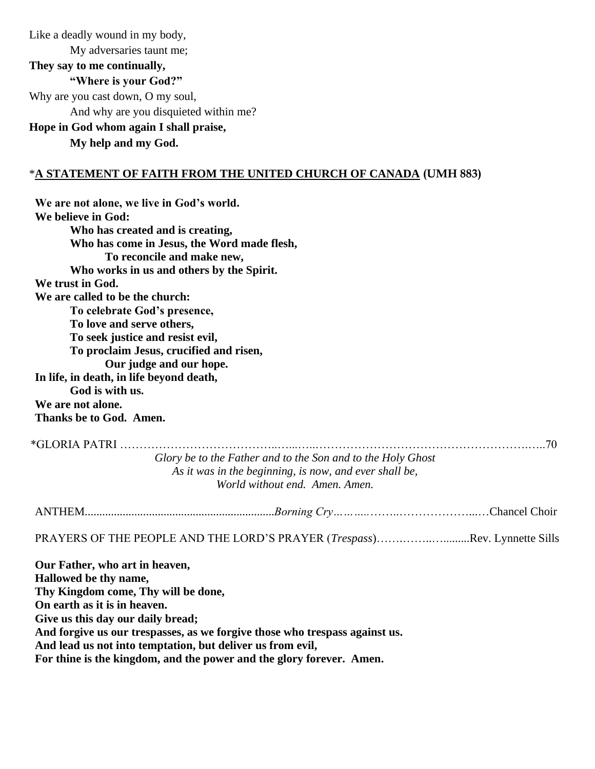Like a deadly wound in my body, My adversaries taunt me; **They say to me continually, "Where is your God?"** Why are you cast down, O my soul, And why are you disquieted within me? **Hope in God whom again I shall praise, My help and my God.**

## \***A STATEMENT OF FAITH FROM THE UNITED CHURCH OF CANADA (UMH 883)**

**We are not alone, we live in God's world. We believe in God: Who has created and is creating, Who has come in Jesus, the Word made flesh, To reconcile and make new, Who works in us and others by the Spirit. We trust in God. We are called to be the church: To celebrate God's presence, To love and serve others, To seek justice and resist evil, To proclaim Jesus, crucified and risen, Our judge and our hope. In life, in death, in life beyond death, God is with us. We are not alone. Thanks be to God. Amen.**  \*GLORIA PATRI …………………………………..…...…..……………………………………………….…..70

*Glory be to the Father and to the Son and to the Holy Ghost As it was in the beginning, is now, and ever shall be, World without end. Amen. Amen.*

ANTHEM.................................................................*Borning Cry………..*……..………………...…Chancel Choir

PRAYERS OF THE PEOPLE AND THE LORD'S PRAYER (*Trespass*)…….……..….........Rev. Lynnette Sills

**Our Father, who art in heaven, Hallowed be thy name, Thy Kingdom come, Thy will be done, On earth as it is in heaven. Give us this day our daily bread; And forgive us our trespasses, as we forgive those who trespass against us. And lead us not into temptation, but deliver us from evil, For thine is the kingdom, and the power and the glory forever. Amen.**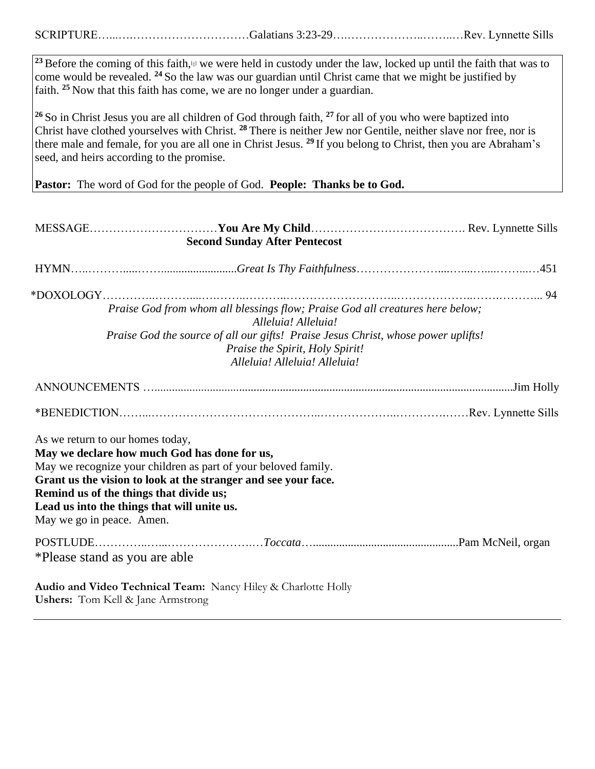SCRIPTURE…...….…………………………Galatians 3:23-29….………………..……..…Rev. Lynnette Sills

<sup>23</sup> Before the coming of this faith,<sup>[a]</sup> we were held in custody under the law, locked up until the faith that was to come would be revealed. **<sup>24</sup>** So the law was our guardian until Christ came that we might be justified by faith. **<sup>25</sup>** Now that this faith has come, we are no longer under a guardian.

**<sup>26</sup>** So in Christ Jesus you are all children of God through faith, **<sup>27</sup>** for all of you who were baptized into Christ have clothed yourselves with Christ. **<sup>28</sup>** There is neither Jew nor Gentile, neither slave nor free, nor is there male and female, for you are all one in Christ Jesus. **<sup>29</sup>** If you belong to Christ, then you are Abraham's seed, and heirs according to the promise.

Pastor: The word of God for the people of God. **People: Thanks be to God.** 

| <b>Second Sunday After Pentecost</b>                                                                                                                                                                                                                                                                                                        |  |
|---------------------------------------------------------------------------------------------------------------------------------------------------------------------------------------------------------------------------------------------------------------------------------------------------------------------------------------------|--|
|                                                                                                                                                                                                                                                                                                                                             |  |
|                                                                                                                                                                                                                                                                                                                                             |  |
| Praise God from whom all blessings flow; Praise God all creatures here below;<br>Alleluia! Alleluia!                                                                                                                                                                                                                                        |  |
| Praise God the source of all our gifts! Praise Jesus Christ, whose power uplifts!<br>Praise the Spirit, Holy Spirit!<br>Alleluia! Alleluia! Alleluia!                                                                                                                                                                                       |  |
|                                                                                                                                                                                                                                                                                                                                             |  |
|                                                                                                                                                                                                                                                                                                                                             |  |
|                                                                                                                                                                                                                                                                                                                                             |  |
| As we return to our homes today,<br>May we declare how much God has done for us,<br>May we recognize your children as part of your beloved family.<br>Grant us the vision to look at the stranger and see your face.<br>Remind us of the things that divide us;<br>Lead us into the things that will unite us.<br>May we go in peace. Amen. |  |
| *Please stand as you are able                                                                                                                                                                                                                                                                                                               |  |
| Audio and Video Technical Team: Nancy Hiley & Charlotte Holly<br><b>Ushers:</b> Tom Kell & Jane Armstrong                                                                                                                                                                                                                                   |  |